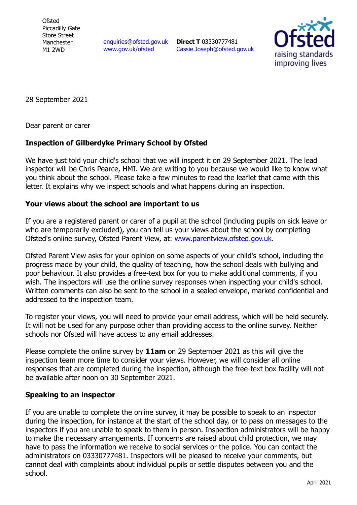**Ofsted** Piccadilly Gate Store Street Manchester M1 2WD

enquiries@ofsted.gov.uk www.gov.uk/ofsted

**Direct T** 03330777481 Cassie.Joseph@ofsted.gov.uk



28 September 2021

Dear parent or carer

## **Inspection of Gilberdyke Primary School by Ofsted**

We have just told your child's school that we will inspect it on 29 September 2021. The lead inspector will be Chris Pearce, HMI. We are writing to you because we would like to know what you think about the school. Please take a few minutes to read the leaflet that came with this letter. It explains why we inspect schools and what happens during an inspection.

## **Your views about the school are important to us**

If you are a registered parent or carer of a pupil at the school (including pupils on sick leave or who are temporarily excluded), you can tell us your views about the school by completing Ofsted's online survey, Ofsted Parent View, at: www.parentview.ofsted.gov.uk.

Ofsted Parent View asks for your opinion on some aspects of your child's school, including the progress made by your child, the quality of teaching, how the school deals with bullying and poor behaviour. It also provides a free-text box for you to make additional comments, if you wish. The inspectors will use the online survey responses when inspecting your child's school. Written comments can also be sent to the school in a sealed envelope, marked confidential and addressed to the inspection team.

To register your views, you will need to provide your email address, which will be held securely. It will not be used for any purpose other than providing access to the online survey. Neither schools nor Ofsted will have access to any email addresses.

Please complete the online survey by **11am** on 29 September 2021 as this will give the inspection team more time to consider your views. However, we will consider all online responses that are completed during the inspection, although the free-text box facility will not be available after noon on 30 September 2021.

## **Speaking to an inspector**

If you are unable to complete the online survey, it may be possible to speak to an inspector during the inspection, for instance at the start of the school day, or to pass on messages to the inspectors if you are unable to speak to them in person. Inspection administrators will be happy to make the necessary arrangements. If concerns are raised about child protection, we may have to pass the information we receive to social services or the police. You can contact the administrators on 03330777481. Inspectors will be pleased to receive your comments, but cannot deal with complaints about individual pupils or settle disputes between you and the school.